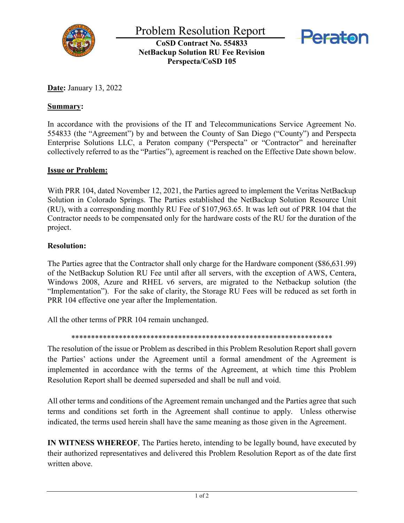

Problem Resolution Report

**CoSD Contract No. 554833 NetBackup Solution RU Fee Revision Perspecta/CoSD 105**



**Date:** January 13, 2022

#### **Summary:**

In accordance with the provisions of the IT and Telecommunications Service Agreement No. 554833 (the "Agreement") by and between the County of San Diego ("County") and Perspecta Enterprise Solutions LLC, a Peraton company ("Perspecta" or "Contractor" and hereinafter collectively referred to as the "Parties"), agreement is reached on the Effective Date shown below.

## **Issue or Problem:**

With PRR 104, dated November 12, 2021, the Parties agreed to implement the Veritas NetBackup Solution in Colorado Springs. The Parties established the NetBackup Solution Resource Unit (RU), with a corresponding monthly RU Fee of \$107,963.65. It was left out of PRR 104 that the Contractor needs to be compensated only for the hardware costs of the RU for the duration of the project.

## **Resolution:**

The Parties agree that the Contractor shall only charge for the Hardware component (\$86,631.99) of the NetBackup Solution RU Fee until after all servers, with the exception of AWS, Centera, Windows 2008, Azure and RHEL v6 servers, are migrated to the Netbackup solution (the "Implementation"). For the sake of clarity, the Storage RU Fees will be reduced as set forth in PRR 104 effective one year after the Implementation.

All the other terms of PRR 104 remain unchanged.

#### \*\*\*\*\*\*\*\*\*\*\*\*\*\*\*\*\*\*\*\*\*\*\*\*\*\*\*\*\*\*\*\*\*\*\*\*\*\*\*\*\*\*\*\*\*\*\*\*\*\*\*\*\*\*\*\*\*\*\*\*\*\*\*\*\*\*

The resolution of the issue or Problem as described in this Problem Resolution Report shall govern the Parties' actions under the Agreement until a formal amendment of the Agreement is implemented in accordance with the terms of the Agreement, at which time this Problem Resolution Report shall be deemed superseded and shall be null and void.

All other terms and conditions of the Agreement remain unchanged and the Parties agree that such terms and conditions set forth in the Agreement shall continue to apply. Unless otherwise indicated, the terms used herein shall have the same meaning as those given in the Agreement.

**IN WITNESS WHEREOF**, The Parties hereto, intending to be legally bound, have executed by their authorized representatives and delivered this Problem Resolution Report as of the date first written above.